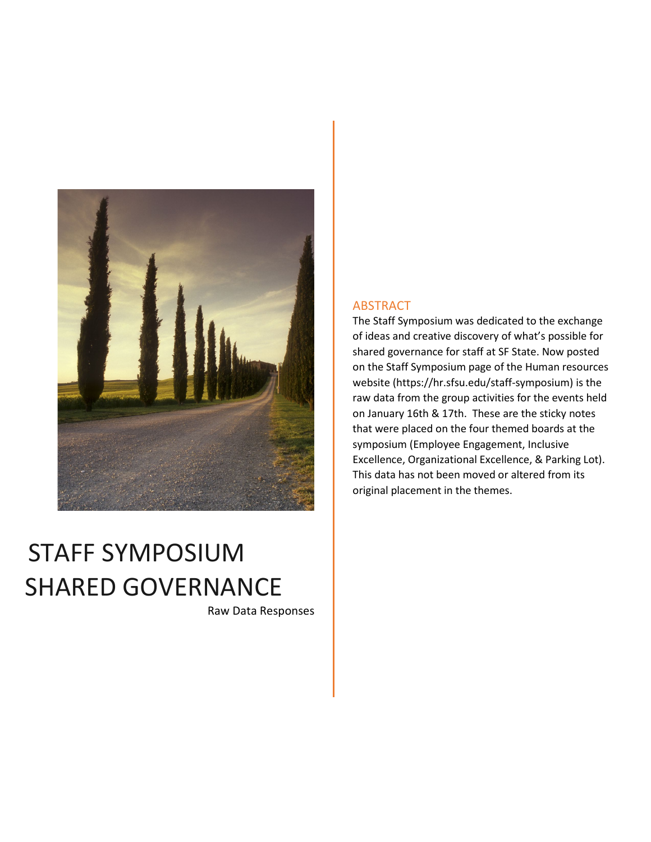

# STAFF SYMPOSIUM SHARED GOVERNANCE

Raw Data Responses

#### ABSTRACT

The Staff Symposium was dedicated to the exchange of ideas and creative discovery of what's possible for shared governance for staff at SF State. Now posted on the Staff Symposium page of the Human resources website (https://hr.sfsu.edu/staff-symposium) is the raw data from the group activities for the events held on January 16th & 17th. These are the sticky notes that were placed on the four themed boards at the symposium (Employee Engagement, Inclusive Excellence, Organizational Excellence, & Parking Lot). This data has not been moved or altered from its original placement in the themes.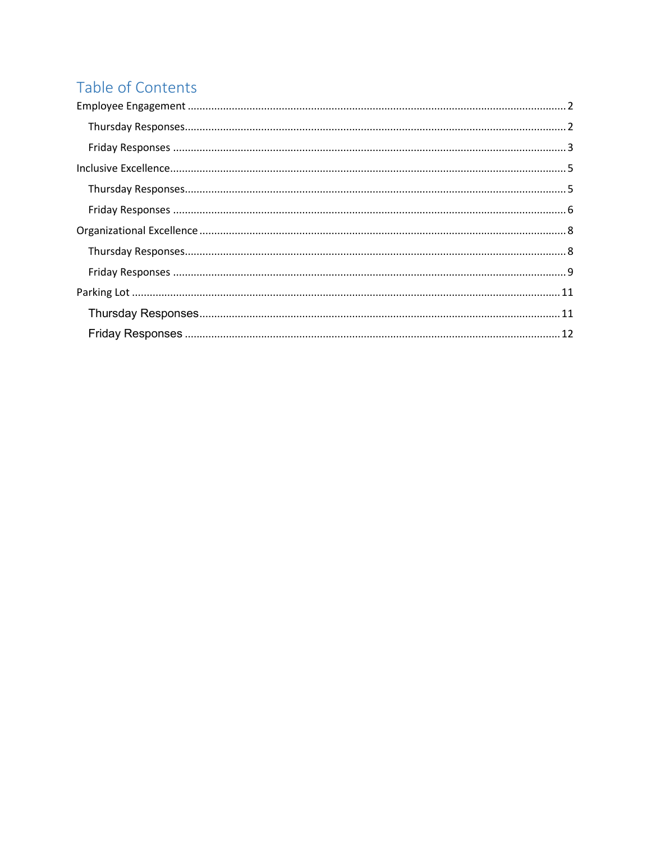### <span id="page-1-0"></span>Table of Contents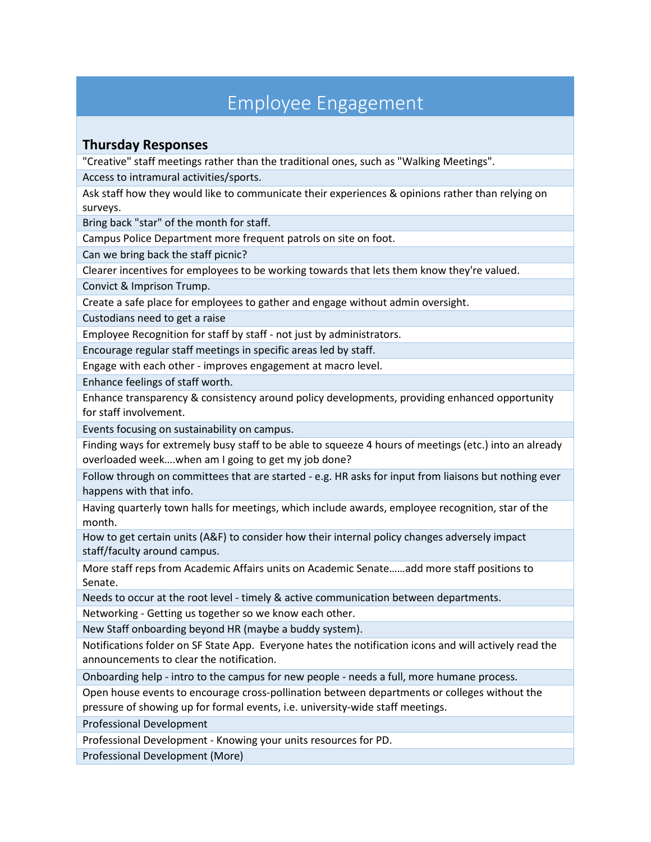### Employee Engagement

### <span id="page-2-1"></span><span id="page-2-0"></span>**Thursday Responses**

"Creative" staff meetings rather than the traditional ones, such as "Walking Meetings".

Access to intramural activities/sports.

Ask staff how they would like to communicate their experiences & opinions rather than relying on surveys.

Bring back "star" of the month for staff.

Campus Police Department more frequent patrols on site on foot.

Can we bring back the staff picnic?

Clearer incentives for employees to be working towards that lets them know they're valued.

Convict & Imprison Trump.

Create a safe place for employees to gather and engage without admin oversight.

Custodians need to get a raise

Employee Recognition for staff by staff - not just by administrators.

Encourage regular staff meetings in specific areas led by staff.

Engage with each other - improves engagement at macro level.

Enhance feelings of staff worth.

Enhance transparency & consistency around policy developments, providing enhanced opportunity for staff involvement.

Events focusing on sustainability on campus.

Finding ways for extremely busy staff to be able to squeeze 4 hours of meetings (etc.) into an already overloaded week….when am I going to get my job done?

Follow through on committees that are started - e.g. HR asks for input from liaisons but nothing ever happens with that info.

Having quarterly town halls for meetings, which include awards, employee recognition, star of the month.

How to get certain units (A&F) to consider how their internal policy changes adversely impact staff/faculty around campus.

More staff reps from Academic Affairs units on Academic Senate……add more staff positions to Senate.

Needs to occur at the root level - timely & active communication between departments.

Networking - Getting us together so we know each other.

New Staff onboarding beyond HR (maybe a buddy system).

Notifications folder on SF State App. Everyone hates the notification icons and will actively read the announcements to clear the notification.

Onboarding help - intro to the campus for new people - needs a full, more humane process.

Open house events to encourage cross-pollination between departments or colleges without the pressure of showing up for formal events, i.e. university-wide staff meetings.

Professional Development

Professional Development - Knowing your units resources for PD.

Professional Development (More)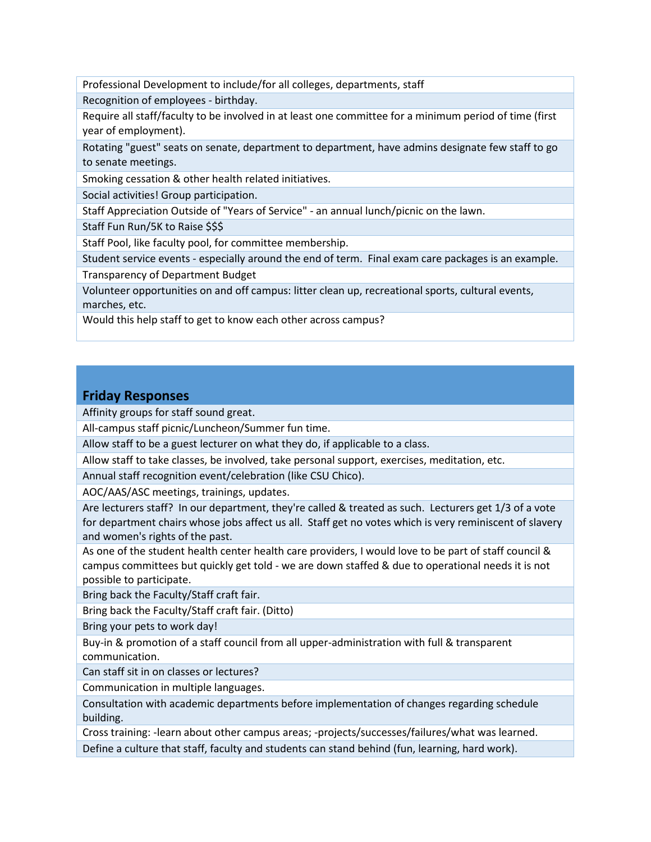Professional Development to include/for all colleges, departments, staff

Recognition of employees - birthday.

Require all staff/faculty to be involved in at least one committee for a minimum period of time (first year of employment).

Rotating "guest" seats on senate, department to department, have admins designate few staff to go to senate meetings.

Smoking cessation & other health related initiatives.

Social activities! Group participation.

Staff Appreciation Outside of "Years of Service" - an annual lunch/picnic on the lawn.

Staff Fun Run/5K to Raise \$\$\$

Staff Pool, like faculty pool, for committee membership.

Student service events - especially around the end of term. Final exam care packages is an example.

Transparency of Department Budget

Volunteer opportunities on and off campus: litter clean up, recreational sports, cultural events, marches, etc.

Would this help staff to get to know each other across campus?

#### <span id="page-3-0"></span>**Friday Responses**

Affinity groups for staff sound great.

All-campus staff picnic/Luncheon/Summer fun time.

Allow staff to be a guest lecturer on what they do, if applicable to a class.

Allow staff to take classes, be involved, take personal support, exercises, meditation, etc.

Annual staff recognition event/celebration (like CSU Chico).

AOC/AAS/ASC meetings, trainings, updates.

Are lecturers staff? In our department, they're called & treated as such. Lecturers get 1/3 of a vote for department chairs whose jobs affect us all. Staff get no votes which is very reminiscent of slavery and women's rights of the past.

As one of the student health center health care providers, I would love to be part of staff council & campus committees but quickly get told - we are down staffed & due to operational needs it is not possible to participate.

Bring back the Faculty/Staff craft fair.

Bring back the Faculty/Staff craft fair. (Ditto)

Bring your pets to work day!

Buy-in & promotion of a staff council from all upper-administration with full & transparent communication.

Can staff sit in on classes or lectures?

Communication in multiple languages.

Consultation with academic departments before implementation of changes regarding schedule building.

Cross training: -learn about other campus areas; -projects/successes/failures/what was learned. Define a culture that staff, faculty and students can stand behind (fun, learning, hard work).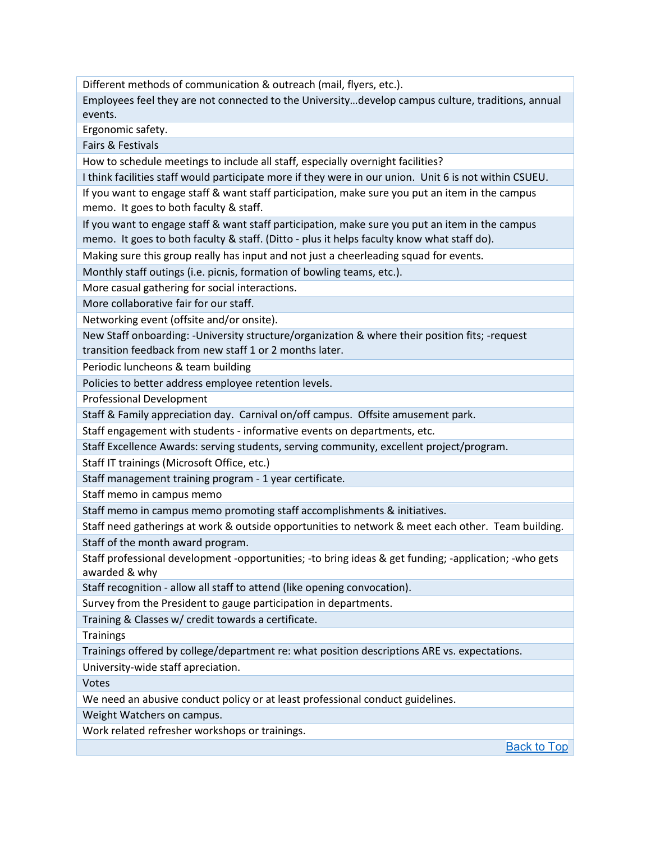Different methods of communication & outreach (mail, flyers, etc.).

Employees feel they are not connected to the University…develop campus culture, traditions, annual events.

Ergonomic safety.

Fairs & Festivals

How to schedule meetings to include all staff, especially overnight facilities?

I think facilities staff would participate more if they were in our union. Unit 6 is not within CSUEU.

If you want to engage staff & want staff participation, make sure you put an item in the campus memo. It goes to both faculty & staff.

If you want to engage staff & want staff participation, make sure you put an item in the campus memo. It goes to both faculty & staff. (Ditto - plus it helps faculty know what staff do).

Making sure this group really has input and not just a cheerleading squad for events.

Monthly staff outings (i.e. picnis, formation of bowling teams, etc.).

More casual gathering for social interactions.

More collaborative fair for our staff.

Networking event (offsite and/or onsite).

New Staff onboarding: -University structure/organization & where their position fits; -request transition feedback from new staff 1 or 2 months later.

Periodic luncheons & team building

Policies to better address employee retention levels.

Professional Development

Staff & Family appreciation day. Carnival on/off campus. Offsite amusement park.

Staff engagement with students - informative events on departments, etc.

Staff Excellence Awards: serving students, serving community, excellent project/program.

Staff IT trainings (Microsoft Office, etc.)

Staff management training program - 1 year certificate.

Staff memo in campus memo

Staff memo in campus memo promoting staff accomplishments & initiatives.

Staff need gatherings at work & outside opportunities to network & meet each other. Team building. Staff of the month award program.

Staff professional development -opportunities; -to bring ideas & get funding; -application; -who gets awarded & why

Staff recognition - allow all staff to attend (like opening convocation).

Survey from the President to gauge participation in departments.

Training & Classes w/ credit towards a certificate.

**Trainings** 

Trainings offered by college/department re: what position descriptions ARE vs. expectations.

University-wide staff apreciation.

Votes

We need an abusive conduct policy or at least professional conduct guidelines.

Weight Watchers on campus.

Work related refresher workshops or trainings.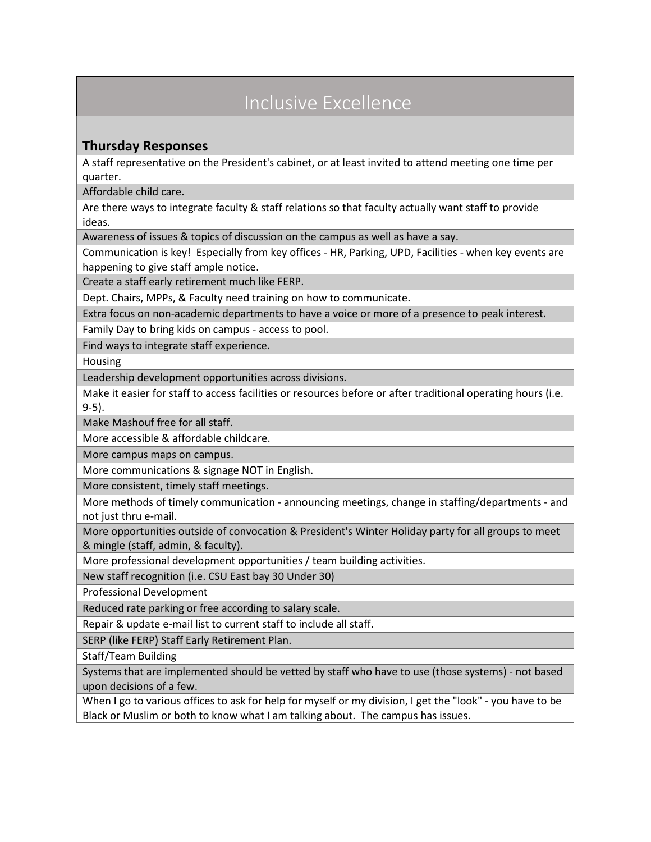# <span id="page-5-0"></span>Inclusive Excellence

### <span id="page-5-1"></span>**Thursday Responses**

A staff representative on the President's cabinet, or at least invited to attend meeting one time per quarter.

Affordable child care.

Are there ways to integrate faculty & staff relations so that faculty actually want staff to provide ideas.

Awareness of issues & topics of discussion on the campus as well as have a say.

Communication is key! Especially from key offices - HR, Parking, UPD, Facilities - when key events are happening to give staff ample notice.

Create a staff early retirement much like FERP.

Dept. Chairs, MPPs, & Faculty need training on how to communicate.

Extra focus on non-academic departments to have a voice or more of a presence to peak interest.

Family Day to bring kids on campus - access to pool.

Find ways to integrate staff experience.

Housing

Leadership development opportunities across divisions.

Make it easier for staff to access facilities or resources before or after traditional operating hours (i.e. 9-5).

Make Mashouf free for all staff.

More accessible & affordable childcare.

More campus maps on campus.

More communications & signage NOT in English.

More consistent, timely staff meetings.

More methods of timely communication - announcing meetings, change in staffing/departments - and not just thru e-mail.

More opportunities outside of convocation & President's Winter Holiday party for all groups to meet & mingle (staff, admin, & faculty).

More professional development opportunities / team building activities.

New staff recognition (i.e. CSU East bay 30 Under 30)

Professional Development

Reduced rate parking or free according to salary scale.

Repair & update e-mail list to current staff to include all staff.

SERP (like FERP) Staff Early Retirement Plan.

Staff/Team Building

Systems that are implemented should be vetted by staff who have to use (those systems) - not based upon decisions of a few.

When I go to various offices to ask for help for myself or my division, I get the "look" - you have to be Black or Muslim or both to know what I am talking about. The campus has issues.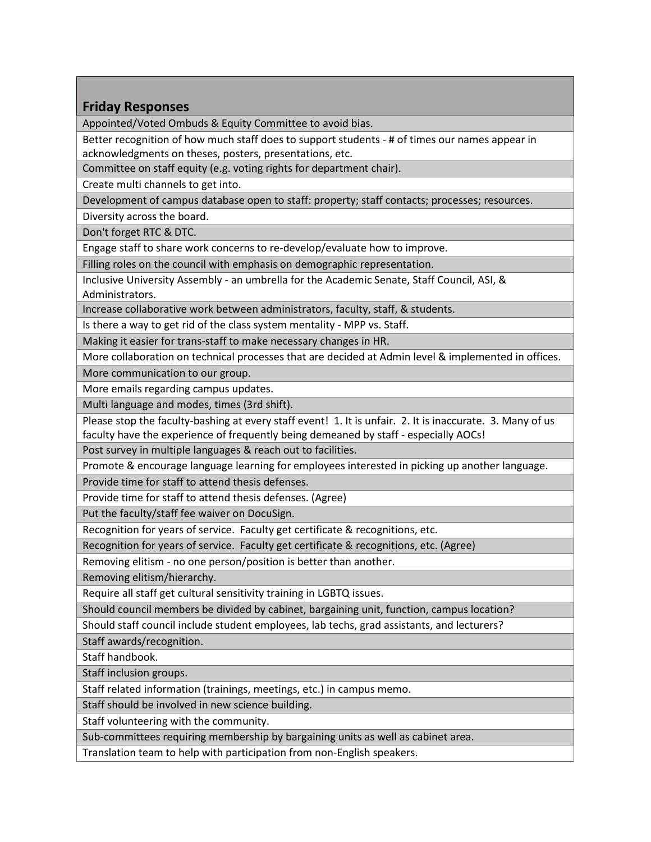### <span id="page-6-0"></span>**Friday Responses**

Appointed/Voted Ombuds & Equity Committee to avoid bias.

Better recognition of how much staff does to support students - # of times our names appear in acknowledgments on theses, posters, presentations, etc.

Committee on staff equity (e.g. voting rights for department chair).

Create multi channels to get into.

Development of campus database open to staff: property; staff contacts; processes; resources.

Diversity across the board.

Don't forget RTC & DTC.

Engage staff to share work concerns to re-develop/evaluate how to improve.

Filling roles on the council with emphasis on demographic representation.

Inclusive University Assembly - an umbrella for the Academic Senate, Staff Council, ASI, & Administrators.

Increase collaborative work between administrators, faculty, staff, & students.

Is there a way to get rid of the class system mentality - MPP vs. Staff.

Making it easier for trans-staff to make necessary changes in HR.

More collaboration on technical processes that are decided at Admin level & implemented in offices.

More communication to our group.

More emails regarding campus updates.

Multi language and modes, times (3rd shift).

Please stop the faculty-bashing at every staff event! 1. It is unfair. 2. It is inaccurate. 3. Many of us faculty have the experience of frequently being demeaned by staff - especially AOCs!

Post survey in multiple languages & reach out to facilities.

Promote & encourage language learning for employees interested in picking up another language.

Provide time for staff to attend thesis defenses.

Provide time for staff to attend thesis defenses. (Agree)

Put the faculty/staff fee waiver on DocuSign.

Recognition for years of service. Faculty get certificate & recognitions, etc.

Recognition for years of service. Faculty get certificate & recognitions, etc. (Agree)

Removing elitism - no one person/position is better than another.

Removing elitism/hierarchy.

Require all staff get cultural sensitivity training in LGBTQ issues.

Should council members be divided by cabinet, bargaining unit, function, campus location?

Should staff council include student employees, lab techs, grad assistants, and lecturers?

Staff awards/recognition.

Staff handbook.

Staff inclusion groups.

Staff related information (trainings, meetings, etc.) in campus memo.

Staff should be involved in new science building.

Staff volunteering with the community.

Sub-committees requiring membership by bargaining units as well as cabinet area.

Translation team to help with participation from non-English speakers.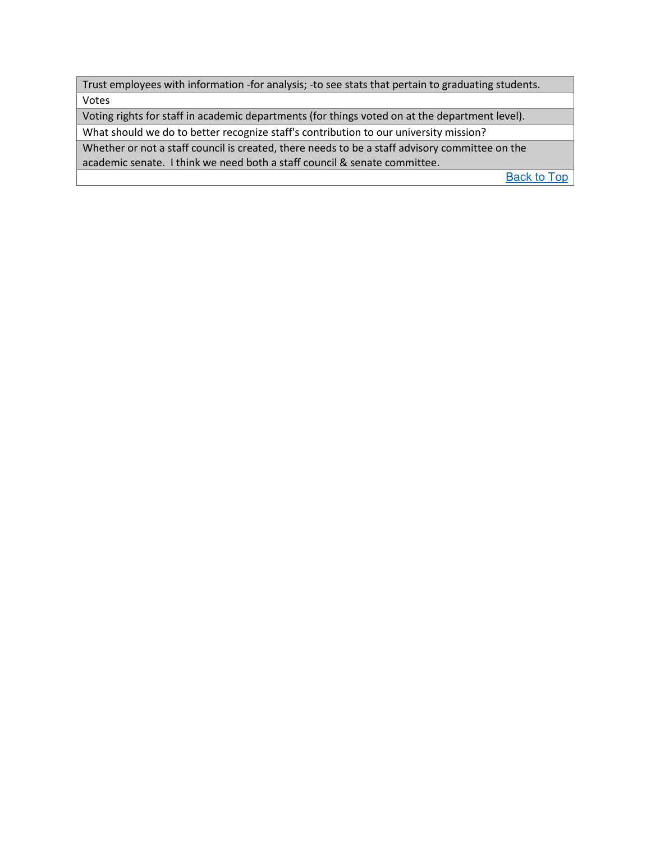Trust employees with information -for analysis; -to see stats that pertain to graduating students. Votes

Voting rights for staff in academic departments (for things voted on at the department level).

What should we do to better recognize staff's contribution to our university mission?

Whether or not a staff council is created, there needs to be a staff advisory committee on the academic senate. I think we need both a staff council & senate committee.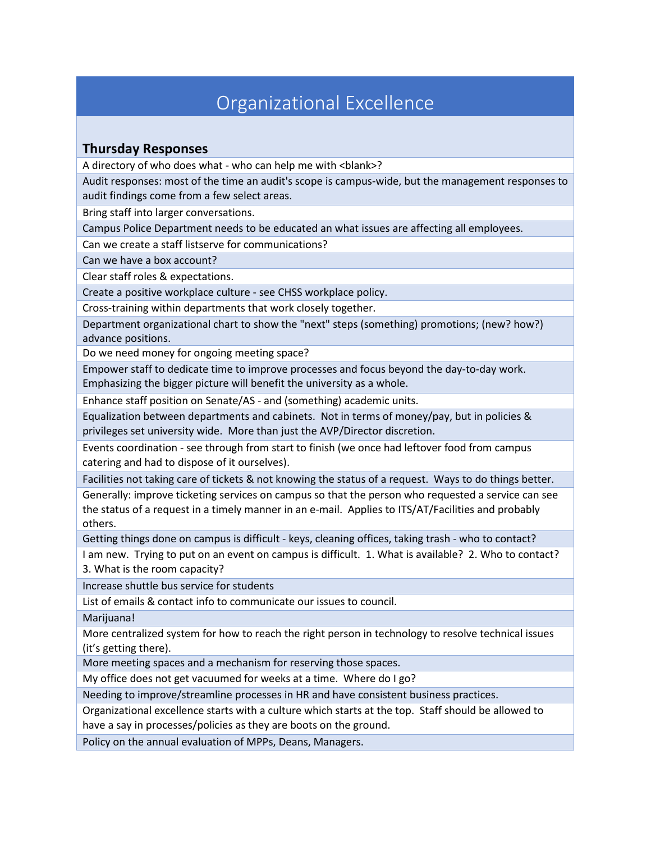### Organizational Excellence

### <span id="page-8-1"></span><span id="page-8-0"></span>**Thursday Responses**

A directory of who does what - who can help me with <blank>?

Audit responses: most of the time an audit's scope is campus-wide, but the management responses to audit findings come from a few select areas.

Bring staff into larger conversations.

Campus Police Department needs to be educated an what issues are affecting all employees.

Can we create a staff listserve for communications?

Can we have a box account?

Clear staff roles & expectations.

Create a positive workplace culture - see CHSS workplace policy.

Cross-training within departments that work closely together.

Department organizational chart to show the "next" steps (something) promotions; (new? how?) advance positions.

Do we need money for ongoing meeting space?

Empower staff to dedicate time to improve processes and focus beyond the day-to-day work. Emphasizing the bigger picture will benefit the university as a whole.

Enhance staff position on Senate/AS - and (something) academic units.

Equalization between departments and cabinets. Not in terms of money/pay, but in policies & privileges set university wide. More than just the AVP/Director discretion.

Events coordination - see through from start to finish (we once had leftover food from campus catering and had to dispose of it ourselves).

Facilities not taking care of tickets & not knowing the status of a request. Ways to do things better.

Generally: improve ticketing services on campus so that the person who requested a service can see the status of a request in a timely manner in an e-mail. Applies to ITS/AT/Facilities and probably others.

Getting things done on campus is difficult - keys, cleaning offices, taking trash - who to contact?

I am new. Trying to put on an event on campus is difficult. 1. What is available? 2. Who to contact? 3. What is the room capacity?

Increase shuttle bus service for students

List of emails & contact info to communicate our issues to council.

Marijuana!

More centralized system for how to reach the right person in technology to resolve technical issues (it's getting there).

More meeting spaces and a mechanism for reserving those spaces.

My office does not get vacuumed for weeks at a time. Where do I go?

Needing to improve/streamline processes in HR and have consistent business practices.

Organizational excellence starts with a culture which starts at the top. Staff should be allowed to have a say in processes/policies as they are boots on the ground.

Policy on the annual evaluation of MPPs, Deans, Managers.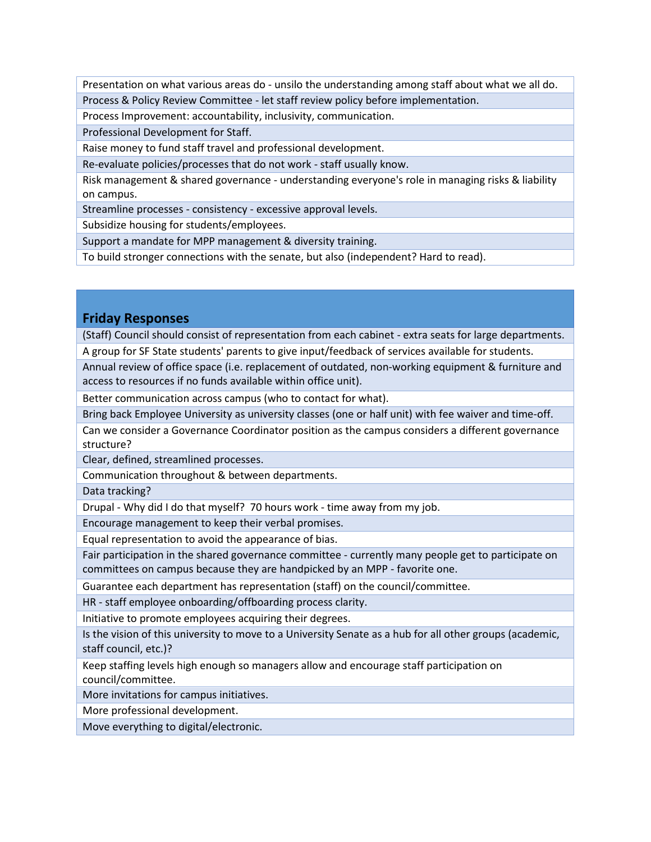Presentation on what various areas do - unsilo the understanding among staff about what we all do. Process & Policy Review Committee - let staff review policy before implementation.

Process Improvement: accountability, inclusivity, communication.

Professional Development for Staff.

Raise money to fund staff travel and professional development.

Re-evaluate policies/processes that do not work - staff usually know.

Risk management & shared governance - understanding everyone's role in managing risks & liability on campus.

Streamline processes - consistency - excessive approval levels.

Subsidize housing for students/employees.

Support a mandate for MPP management & diversity training.

To build stronger connections with the senate, but also (independent? Hard to read).

#### <span id="page-9-0"></span>**Friday Responses**

(Staff) Council should consist of representation from each cabinet - extra seats for large departments. A group for SF State students' parents to give input/feedback of services available for students.

Annual review of office space (i.e. replacement of outdated, non-working equipment & furniture and access to resources if no funds available within office unit).

Better communication across campus (who to contact for what).

Bring back Employee University as university classes (one or half unit) with fee waiver and time-off.

Can we consider a Governance Coordinator position as the campus considers a different governance structure?

Clear, defined, streamlined processes.

Communication throughout & between departments.

Data tracking?

Drupal - Why did I do that myself? 70 hours work - time away from my job.

Encourage management to keep their verbal promises.

Equal representation to avoid the appearance of bias.

Fair participation in the shared governance committee - currently many people get to participate on committees on campus because they are handpicked by an MPP - favorite one.

Guarantee each department has representation (staff) on the council/committee.

HR - staff employee onboarding/offboarding process clarity.

Initiative to promote employees acquiring their degrees.

Is the vision of this university to move to a University Senate as a hub for all other groups (academic, staff council, etc.)?

Keep staffing levels high enough so managers allow and encourage staff participation on council/committee.

More invitations for campus initiatives.

More professional development.

Move everything to digital/electronic.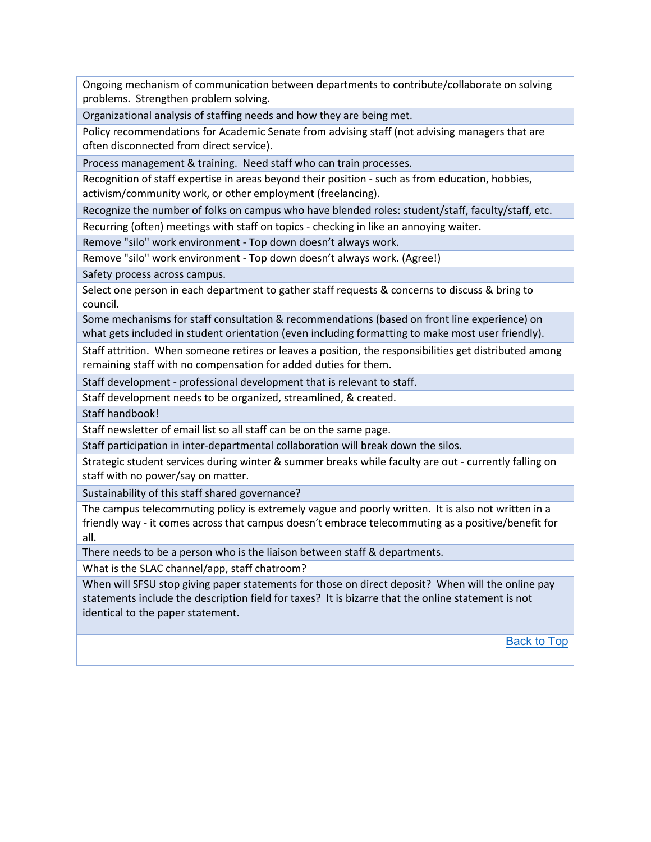Ongoing mechanism of communication between departments to contribute/collaborate on solving problems. Strengthen problem solving.

Organizational analysis of staffing needs and how they are being met.

Policy recommendations for Academic Senate from advising staff (not advising managers that are often disconnected from direct service).

Process management & training. Need staff who can train processes.

Recognition of staff expertise in areas beyond their position - such as from education, hobbies, activism/community work, or other employment (freelancing).

Recognize the number of folks on campus who have blended roles: student/staff, faculty/staff, etc.

Recurring (often) meetings with staff on topics - checking in like an annoying waiter.

Remove "silo" work environment - Top down doesn't always work.

Remove "silo" work environment - Top down doesn't always work. (Agree!)

Safety process across campus.

Select one person in each department to gather staff requests & concerns to discuss & bring to council.

Some mechanisms for staff consultation & recommendations (based on front line experience) on what gets included in student orientation (even including formatting to make most user friendly).

Staff attrition. When someone retires or leaves a position, the responsibilities get distributed among remaining staff with no compensation for added duties for them.

Staff development - professional development that is relevant to staff.

Staff development needs to be organized, streamlined, & created.

Staff handbook!

Staff newsletter of email list so all staff can be on the same page.

Staff participation in inter-departmental collaboration will break down the silos.

Strategic student services during winter & summer breaks while faculty are out - currently falling on staff with no power/say on matter.

Sustainability of this staff shared governance?

The campus telecommuting policy is extremely vague and poorly written. It is also not written in a friendly way - it comes across that campus doesn't embrace telecommuting as a positive/benefit for all.

There needs to be a person who is the liaison between staff & departments.

What is the SLAC channel/app, staff chatroom?

When will SFSU stop giving paper statements for those on direct deposit? When will the online pay statements include the description field for taxes? It is bizarre that the online statement is not identical to the paper statement.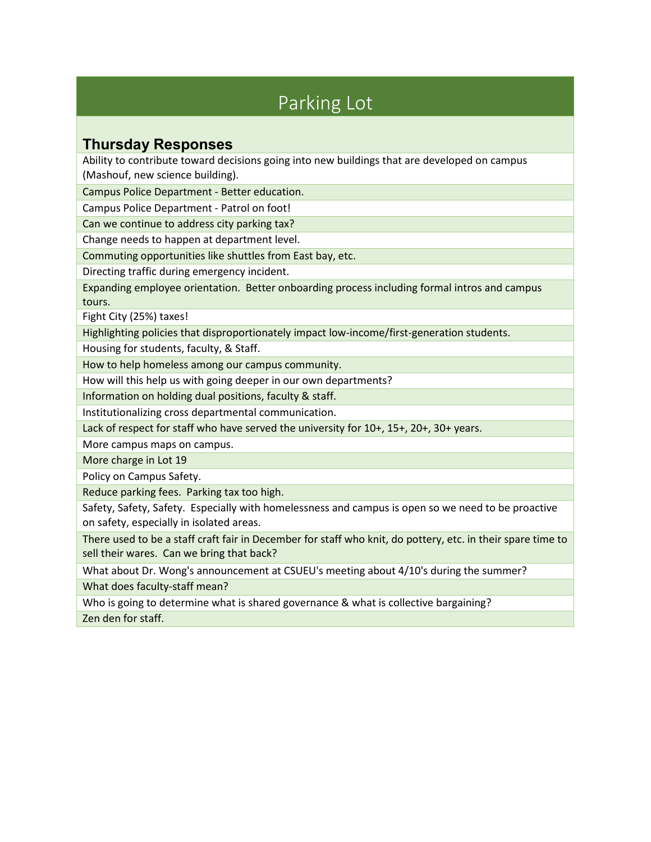# Parking Lot

### <span id="page-11-1"></span><span id="page-11-0"></span>**Thursday Responses**

Ability to contribute toward decisions going into new buildings that are developed on campus (Mashouf, new science building).

Campus Police Department - Better education.

Campus Police Department - Patrol on foot!

Can we continue to address city parking tax?

Change needs to happen at department level.

Commuting opportunities like shuttles from East bay, etc.

Directing traffic during emergency incident.

Expanding employee orientation. Better onboarding process including formal intros and campus tours.

Fight City (25%) taxes!

Highlighting policies that disproportionately impact low-income/first-generation students.

Housing for students, faculty, & Staff.

How to help homeless among our campus community.

How will this help us with going deeper in our own departments?

Information on holding dual positions, faculty & staff.

Institutionalizing cross departmental communication.

Lack of respect for staff who have served the university for 10+, 15+, 20+, 30+ years.

More campus maps on campus.

More charge in Lot 19

Policy on Campus Safety.

Reduce parking fees. Parking tax too high.

Safety, Safety, Safety. Especially with homelessness and campus is open so we need to be proactive on safety, especially in isolated areas.

There used to be a staff craft fair in December for staff who knit, do pottery, etc. in their spare time to sell their wares. Can we bring that back?

What about Dr. Wong's announcement at CSUEU's meeting about 4/10's during the summer? What does faculty-staff mean?

Who is going to determine what is shared governance & what is collective bargaining?

Zen den for staff.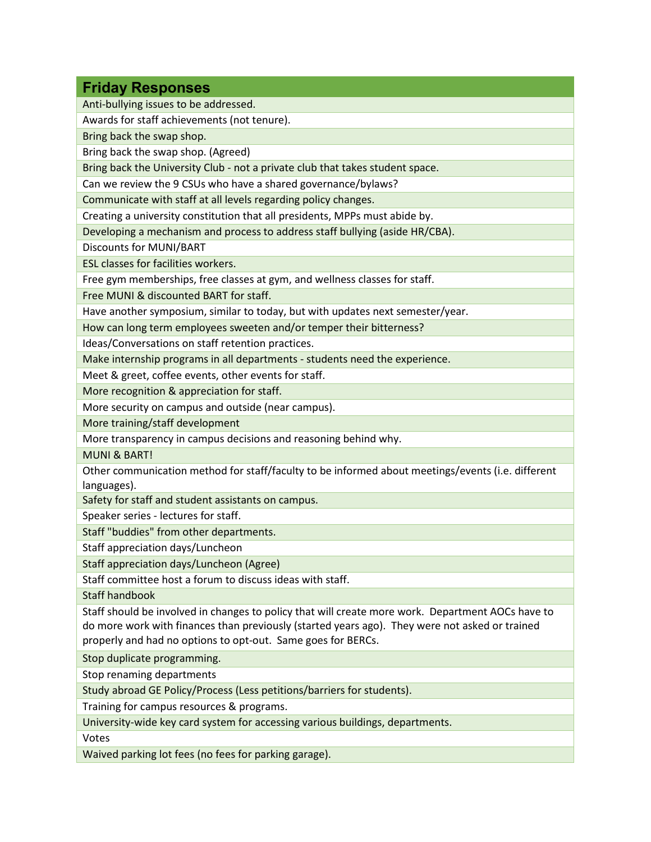<span id="page-12-0"></span>

| <b>Friday Responses</b>                                                                           |
|---------------------------------------------------------------------------------------------------|
| Anti-bullying issues to be addressed.                                                             |
| Awards for staff achievements (not tenure).                                                       |
| Bring back the swap shop.                                                                         |
| Bring back the swap shop. (Agreed)                                                                |
| Bring back the University Club - not a private club that takes student space.                     |
| Can we review the 9 CSUs who have a shared governance/bylaws?                                     |
| Communicate with staff at all levels regarding policy changes.                                    |
| Creating a university constitution that all presidents, MPPs must abide by.                       |
| Developing a mechanism and process to address staff bullying (aside HR/CBA).                      |
| Discounts for MUNI/BART                                                                           |
| ESL classes for facilities workers.                                                               |
| Free gym memberships, free classes at gym, and wellness classes for staff.                        |
| Free MUNI & discounted BART for staff.                                                            |
| Have another symposium, similar to today, but with updates next semester/year.                    |
| How can long term employees sweeten and/or temper their bitterness?                               |
| Ideas/Conversations on staff retention practices.                                                 |
| Make internship programs in all departments - students need the experience.                       |
| Meet & greet, coffee events, other events for staff.                                              |
| More recognition & appreciation for staff.                                                        |
| More security on campus and outside (near campus).                                                |
| More training/staff development                                                                   |
| More transparency in campus decisions and reasoning behind why.                                   |
| <b>MUNI &amp; BART!</b>                                                                           |
| Other communication method for staff/faculty to be informed about meetings/events (i.e. different |
| languages).                                                                                       |
| Safety for staff and student assistants on campus.                                                |
| Speaker series - lectures for staff.                                                              |
| Staff "buddies" from other departments.                                                           |
| Staff appreciation days/Luncheon                                                                  |
| Staff appreciation days/Luncheon (Agree)                                                          |
| Staff committee host a forum to discuss ideas with staff.                                         |
| <b>Staff handbook</b>                                                                             |
| Staff should be involved in changes to policy that will create more work. Department AOCs have to |
| do more work with finances than previously (started years ago). They were not asked or trained    |
| properly and had no options to opt-out. Same goes for BERCs.                                      |
| Stop duplicate programming.                                                                       |
| Stop renaming departments                                                                         |
| Study abroad GE Policy/Process (Less petitions/barriers for students).                            |
| Training for campus resources & programs.                                                         |
| University-wide key card system for accessing various buildings, departments.                     |

Votes

Waived parking lot fees (no fees for parking garage).